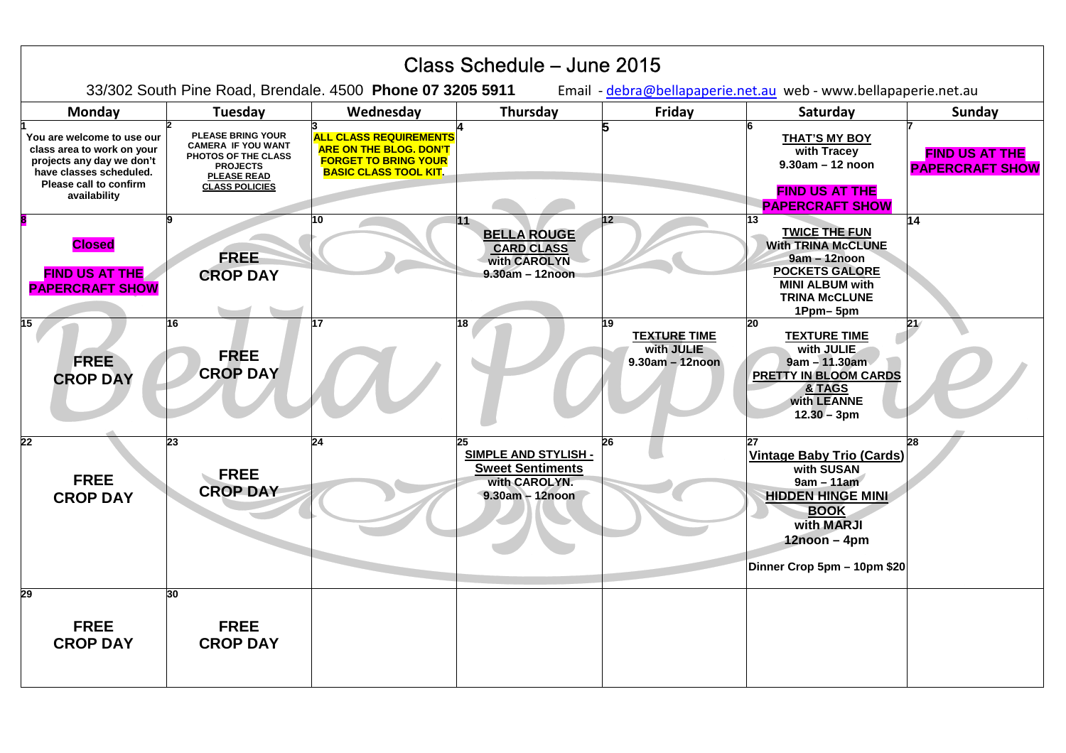| Class Schedule - June 2015                                                                                                                                 |                                                                                                                                                |                                                                                                                               |                                                                                                    |                                                              |                                                                                                                                                                                |                                                 |
|------------------------------------------------------------------------------------------------------------------------------------------------------------|------------------------------------------------------------------------------------------------------------------------------------------------|-------------------------------------------------------------------------------------------------------------------------------|----------------------------------------------------------------------------------------------------|--------------------------------------------------------------|--------------------------------------------------------------------------------------------------------------------------------------------------------------------------------|-------------------------------------------------|
| 33/302 South Pine Road, Brendale. 4500 Phone 07 3205 5911<br>Email - debra@bellapaperie.net.au web - www.bellapaperie.net.au                               |                                                                                                                                                |                                                                                                                               |                                                                                                    |                                                              |                                                                                                                                                                                |                                                 |
| Monday                                                                                                                                                     | Tuesday                                                                                                                                        | Wednesday                                                                                                                     | Thursday                                                                                           | Friday                                                       | Saturday                                                                                                                                                                       | Sunday                                          |
| You are welcome to use our<br>class area to work on your<br>projects any day we don't<br>have classes scheduled.<br>Please call to confirm<br>availability | <b>PLEASE BRING YOUR</b><br><b>CAMERA IF YOU WANT</b><br>PHOTOS OF THE CLASS<br><b>PROJECTS</b><br><b>PLEASE READ</b><br><b>CLASS POLICIES</b> | <b>ALL CLASS REQUIREMENTS</b><br><b>ARE ON THE BLOG. DON'T</b><br><b>FORGET TO BRING YOUR</b><br><b>BASIC CLASS TOOL KIT.</b> |                                                                                                    |                                                              | <b>THAT'S MY BOY</b><br>with Tracey<br>$9.30am - 12noon$<br><b>FIND US AT THE</b><br><b>PAPERCRAFT SHOW</b>                                                                    | <b>FIND US AT THE</b><br><b>PAPERCRAFT SHOW</b> |
| <b>Closed</b><br><b>FIND US AT THE</b><br><b>PAPERCRAFT SHOW</b>                                                                                           | <b>FREE</b><br><b>CROP DAY</b>                                                                                                                 | 10                                                                                                                            | 111<br><b>BELLA ROUGE</b><br><b>CARD CLASS</b><br>with CAROLYN<br>$9.30am - 12noon$                | 12                                                           | 13<br><b>TWICE THE FUN</b><br><b>With TRINA McCLUNE</b><br>9am - 12noon<br><b>POCKETS GALORE</b><br><b>MINI ALBUM with</b><br><b>TRINA McCLUNE</b><br>1Ppm-5pm                 | 14                                              |
| 15<br><b>FREE</b><br><b>CROP DAY</b>                                                                                                                       | 16<br><b>FREE</b><br><b>CROP DAY</b>                                                                                                           | 17                                                                                                                            | 18                                                                                                 | 19<br><b>TEXTURE TIME</b><br>with JULIE<br>$9.30am - 12noon$ | 20<br><b>TEXTURE TIME</b><br>with JULIE<br>$9am - 11.30am$<br><b>PRETTY IN BLOOM CARDS</b><br>& TAGS<br>with LEANNE<br>$12.30 - 3pm$                                           | 21/                                             |
| 22<br><b>FREE</b><br><b>CROP DAY</b>                                                                                                                       | 23<br><b>FREE</b><br><b>CROP DAY</b>                                                                                                           | 24                                                                                                                            | 25<br><b>SIMPLE AND STYLISH -</b><br><b>Sweet Sentiments</b><br>with CAROLYN.<br>$9.30am - 12noon$ | 26                                                           | 27<br><b>Vintage Baby Trio (Cards)</b><br>with SUSAN<br>$9am - 11am$<br><b>HIDDEN HINGE MINI</b><br><b>BOOK</b><br>with MARJI<br>$12noon - 4pm$<br>Dinner Crop 5pm - 10pm \$20 | 28                                              |
| 29<br><b>FREE</b><br><b>CROP DAY</b>                                                                                                                       | 30<br><b>FREE</b><br><b>CROP DAY</b>                                                                                                           |                                                                                                                               |                                                                                                    |                                                              |                                                                                                                                                                                |                                                 |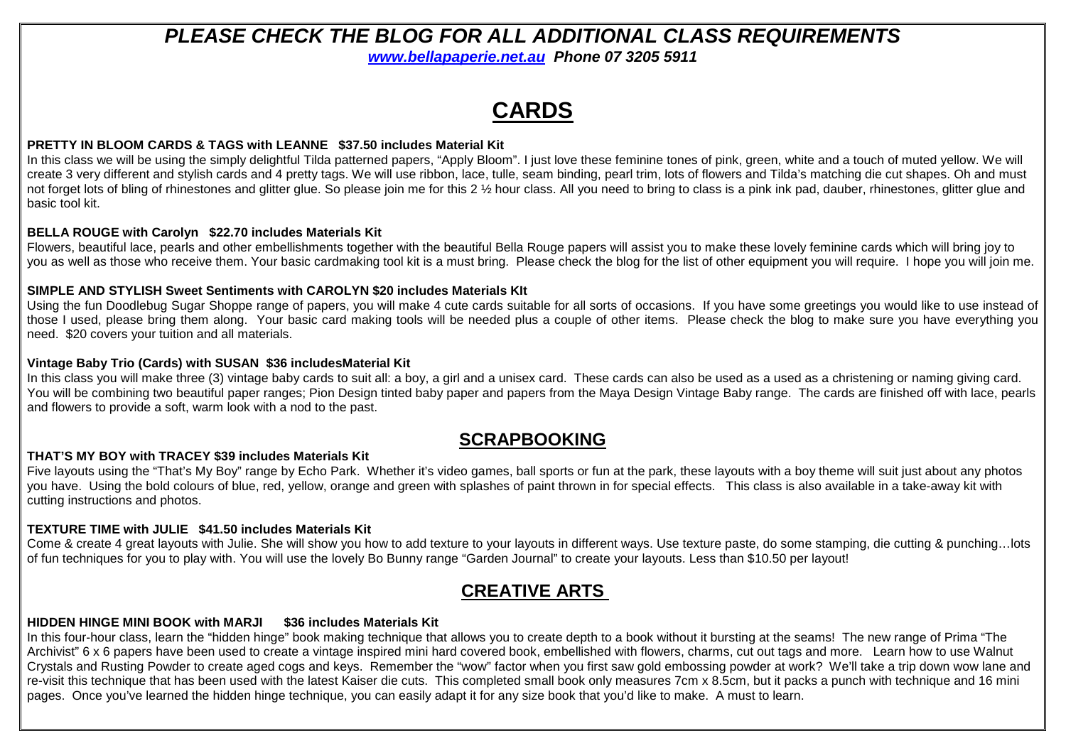# **PLEASE CHECK THE BLOG FOR ALL ADDITIONAL CLASS REQUIREMENTS**

**www.bellapaperie.net.au Phone 07 3205 5911** 

# **CARDS**

#### **PRETTY IN BLOOM CARDS & TAGS with LEANNE \$37.50 includes Material Kit**

In this class we will be using the simply delightful Tilda patterned papers, "Apply Bloom". I just love these feminine tones of pink, green, white and a touch of muted yellow. We will create 3 very different and stylish cards and 4 pretty tags. We will use ribbon, lace, tulle, seam binding, pearl trim, lots of flowers and Tilda's matching die cut shapes. Oh and must not forget lots of bling of rhinestones and glitter glue. So please join me for this 2 ½ hour class. All you need to bring to class is a pink ink pad, dauber, rhinestones, glitter glue and basic tool kit.

#### **BELLA ROUGE with Carolyn \$22.70 includes Materials Kit**

Flowers, beautiful lace, pearls and other embellishments together with the beautiful Bella Rouge papers will assist you to make these lovely feminine cards which will bring joy to you as well as those who receive them. Your basic cardmaking tool kit is a must bring. Please check the blog for the list of other equipment you will require. I hope you will join me.

#### **SIMPLE AND STYLISH Sweet Sentiments with CAROLYN \$20 includes Materials KIt**

 Using the fun Doodlebug Sugar Shoppe range of papers, you will make 4 cute cards suitable for all sorts of occasions. If you have some greetings you would like to use instead of those I used, please bring them along. Your basic card making tools will be needed plus a couple of other items. Please check the blog to make sure you have everything you need. \$20 covers your tuition and all materials.

#### **Vintage Baby Trio (Cards) with SUSAN \$36 includesMaterial Kit**

In this class you will make three (3) vintage baby cards to suit all: a boy, a girl and a unisex card. These cards can also be used as a used as a christening or naming giving card. You will be combining two beautiful paper ranges; Pion Design tinted baby paper and papers from the Maya Design Vintage Baby range. The cards are finished off with lace, pearls and flowers to provide a soft, warm look with a nod to the past.

# **SCRAPBOOKING**

#### **THAT'S MY BOY with TRACEY \$39 includes Materials Kit**

Five layouts using the "That's My Boy" range by Echo Park. Whether it's video games, ball sports or fun at the park, these layouts with a boy theme will suit just about any photos you have. Using the bold colours of blue, red, yellow, orange and green with splashes of paint thrown in for special effects. This class is also available in a take-away kit with cutting instructions and photos.

#### **TEXTURE TIME with JULIE \$41.50 includes Materials Kit**

 Come & create 4 great layouts with Julie. She will show you how to add texture to your layouts in different ways. Use texture paste, do some stamping, die cutting & punching…lots of fun techniques for you to play with. You will use the lovely Bo Bunny range "Garden Journal" to create your layouts. Less than \$10.50 per layout!

# **CREATIVE ARTS**

#### **HIDDEN HINGE MINI BOOK with MARJI \$36 includes Materials Kit**

In this four-hour class, learn the "hidden hinge" book making technique that allows you to create depth to a book without it bursting at the seams! The new range of Prima "The Archivist" 6 x 6 papers have been used to create a vintage inspired mini hard covered book, embellished with flowers, charms, cut out tags and more. Learn how to use Walnut Crystals and Rusting Powder to create aged cogs and keys. Remember the "wow" factor when you first saw gold embossing powder at work? We'll take a trip down wow lane and re-visit this technique that has been used with the latest Kaiser die cuts. This completed small book only measures 7cm x 8.5cm, but it packs a punch with technique and 16 mini pages. Once you've learned the hidden hinge technique, you can easily adapt it for any size book that you'd like to make. A must to learn.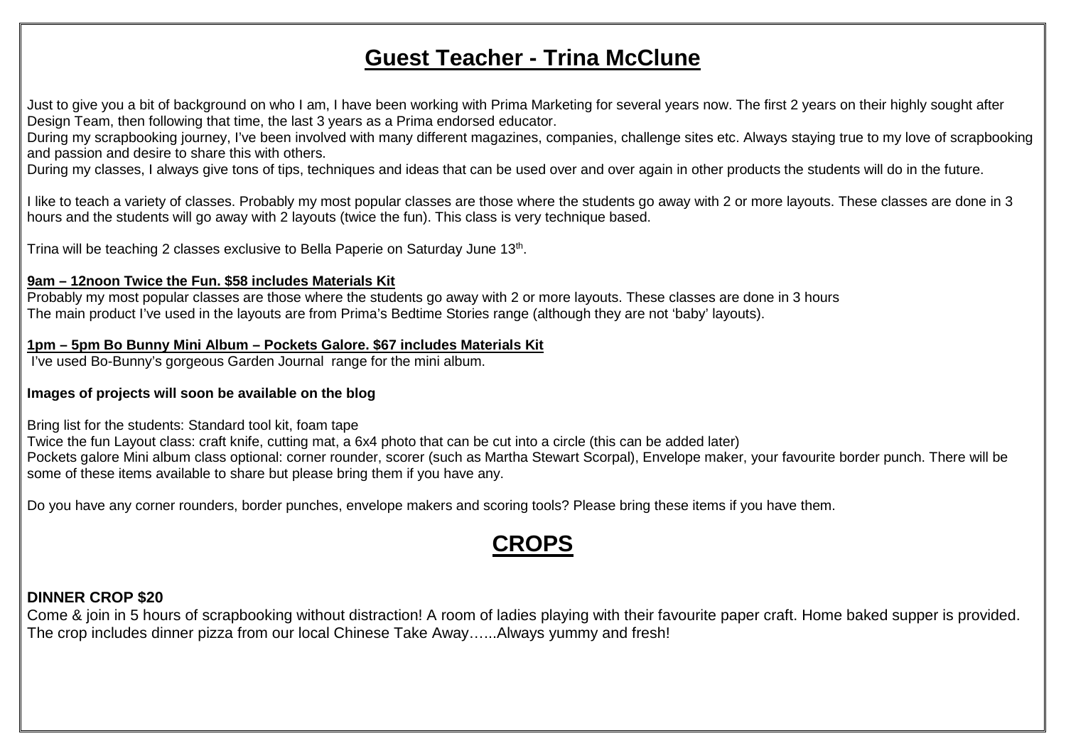# **Guest Teacher - Trina McClune**

Just to give you a bit of background on who I am, I have been working with Prima Marketing for several years now. The first 2 years on their highly sought after Design Team, then following that time, the last 3 years as a Prima endorsed educator.

 During my scrapbooking journey, I've been involved with many different magazines, companies, challenge sites etc. Always staying true to my love of scrapbooking and passion and desire to share this with others.

During my classes, I always give tons of tips, techniques and ideas that can be used over and over again in other products the students will do in the future.

I like to teach a variety of classes. Probably my most popular classes are those where the students go away with 2 or more layouts. These classes are done in 3 hours and the students will go away with 2 layouts (twice the fun). This class is very technique based.

Trina will be teaching 2 classes exclusive to Bella Paperie on Saturday June 13th.

#### **9am – 12noon Twice the Fun. \$58 includes Materials Kit**

 Probably my most popular classes are those where the students go away with 2 or more layouts. These classes are done in 3 hours The main product I've used in the layouts are from Prima's Bedtime Stories range (although they are not 'baby' layouts).

#### **1pm – 5pm Bo Bunny Mini Album – Pockets Galore. \$67 includes Materials Kit**

I've used Bo-Bunny's gorgeous Garden Journal range for the mini album.

#### **Images of projects will soon be available on the blog**

Bring list for the students: Standard tool kit, foam tape

 Twice the fun Layout class: craft knife, cutting mat, a 6x4 photo that can be cut into a circle (this can be added later) Pockets galore Mini album class optional: corner rounder, scorer (such as Martha Stewart Scorpal), Envelope maker, your favourite border punch. There will be some of these items available to share but please bring them if you have any.

Do you have any corner rounders, border punches, envelope makers and scoring tools? Please bring these items if you have them.

# **CROPS**

### **DINNER CROP \$20**

 Come & join in 5 hours of scrapbooking without distraction! A room of ladies playing with their favourite paper craft. Home baked supper is provided. The crop includes dinner pizza from our local Chinese Take Away…...Always yummy and fresh!